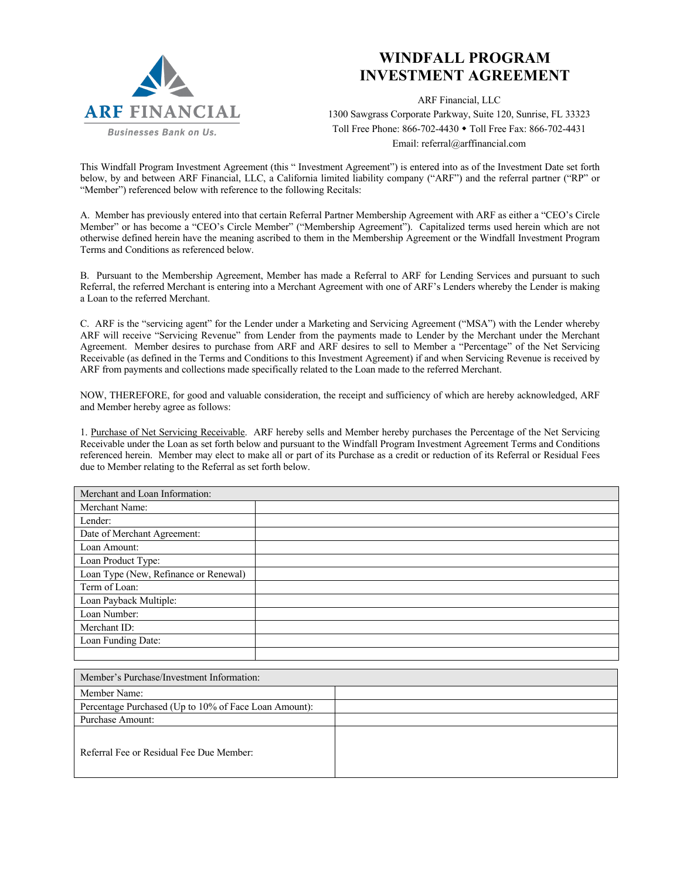

## **WINDFALL PROGRAM INVESTMENT AGREEMENT**

ARF Financial, LLC

1300 Sawgrass Corporate Parkway, Suite 120, Sunrise, FL 33323 Toll Free Phone: 866-702-4430 • Toll Free Fax: 866-702-4431 Email: referral@arffinancial.com

This Windfall Program Investment Agreement (this " Investment Agreement") is entered into as of the Investment Date set forth below, by and between ARF Financial, LLC, a California limited liability company ("ARF") and the referral partner ("RP" or "Member") referenced below with reference to the following Recitals:

A. Member has previously entered into that certain Referral Partner Membership Agreement with ARF as either a "CEO's Circle Member" or has become a "CEO's Circle Member" ("Membership Agreement"). Capitalized terms used herein which are not otherwise defined herein have the meaning ascribed to them in the Membership Agreement or the Windfall Investment Program Terms and Conditions as referenced below.

B. Pursuant to the Membership Agreement, Member has made a Referral to ARF for Lending Services and pursuant to such Referral, the referred Merchant is entering into a Merchant Agreement with one of ARF's Lenders whereby the Lender is making a Loan to the referred Merchant.

C. ARF is the "servicing agent" for the Lender under a Marketing and Servicing Agreement ("MSA") with the Lender whereby ARF will receive "Servicing Revenue" from Lender from the payments made to Lender by the Merchant under the Merchant Agreement. Member desires to purchase from ARF and ARF desires to sell to Member a "Percentage" of the Net Servicing Receivable (as defined in the Terms and Conditions to this Investment Agreement) if and when Servicing Revenue is received by ARF from payments and collections made specifically related to the Loan made to the referred Merchant.

NOW, THEREFORE, for good and valuable consideration, the receipt and sufficiency of which are hereby acknowledged, ARF and Member hereby agree as follows:

1. Purchase of Net Servicing Receivable. ARF hereby sells and Member hereby purchases the Percentage of the Net Servicing Receivable under the Loan as set forth below and pursuant to the Windfall Program Investment Agreement Terms and Conditions referenced herein. Member may elect to make all or part of its Purchase as a credit or reduction of its Referral or Residual Fees due to Member relating to the Referral as set forth below.

| Merchant and Loan Information:        |  |
|---------------------------------------|--|
| Merchant Name:                        |  |
| Lender:                               |  |
| Date of Merchant Agreement:           |  |
| Loan Amount:                          |  |
| Loan Product Type:                    |  |
| Loan Type (New, Refinance or Renewal) |  |
| Term of Loan:                         |  |
| Loan Payback Multiple:                |  |
| Loan Number:                          |  |
| Merchant ID:                          |  |
| Loan Funding Date:                    |  |
|                                       |  |

| Member's Purchase/Investment Information:             |  |  |
|-------------------------------------------------------|--|--|
| Member Name:                                          |  |  |
| Percentage Purchased (Up to 10% of Face Loan Amount): |  |  |
| Purchase Amount:                                      |  |  |
| Referral Fee or Residual Fee Due Member:              |  |  |